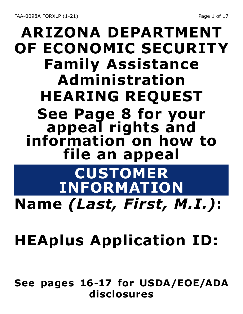# **ARIZONA DEPARTMENT OF ECONOMIC SECURITY Family Assistance Administration HEARING REQUEST See Page 8 for your**  information on how to **file an appeal CUSTOMER**

## **INFORMATION Name** *(Last, First, M.I.)***:**

# **HEAplus Application ID:**

#### **See pages 16-17 for USDA/EOE/ADA disclosures**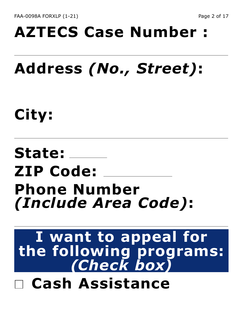# **AZTECS Case Number :**

# **Address** *(No., Street)***:**

**City:**

## **State: ZIP Code: Phone Number**  *(Include Area Code)***:**

#### **I want to appeal for the following programs:**  *(Check box)* **Cash Assistance**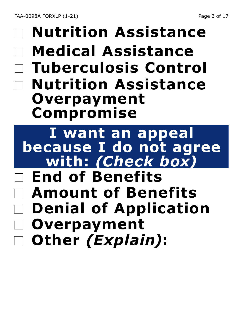FAA-0098A FORXLP (1-21) 2012 2022 2023 203 204 204 205 206 207 208 209 2012 2023 205 207 208 209 209 209 209 20

### **Nutrition Assistance Medical Assistance Tuberculosis Control Nutrition Assistance Overpayment Compromise**

**I want an appeal because I do not agree with:** *(Check box)*

- **End of Benefits Amount of Benefits Denial of Application**
- **Overpayment**
- **Other** *(Explain)***:**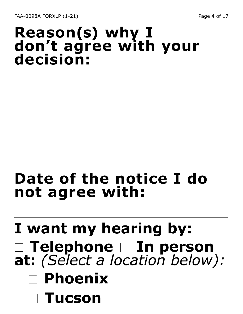#### **Reason(s) why I don't agree with your decision:**

### **Date of the notice I do not agree with:**

## **I want my hearing by: Telephone In person at:** *(Select a location below):* **Phoenix Tucson**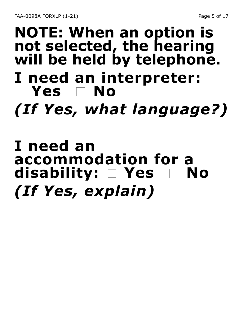### **NOTE: When an option is not selected, the hearing will be held by telephone. I need an interpreter: Yes No** *(If Yes, what language?)*

### **I need an accommodation for a disability:**  $\Box$  Yes *(If Yes, explain)*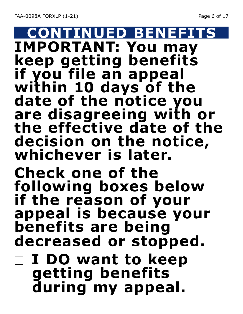#### **CONTINUED BENEFITS IMPORTANT: You may keep getting benefits if you file an appeal within 10 days of the date of the notice you are disagreeing with or the effective date of the decision on the notice, whichever is later. Check one of the following boxes below if the reason of your appeal is because your benefits are being decreased or stopped.**

**I DO want to keep getting benefits during my appeal.**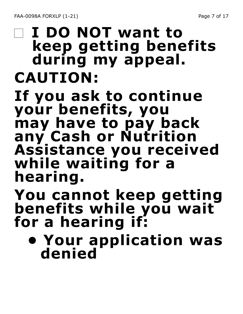### **I DO NOT want to keep getting benefits during my appeal. CAUTION: If you ask to continue your benefits, you may have to pay back any Cash or Nutrition Assistance you received**

**while waiting for a hearing.**

#### **You cannot keep getting benefits while you wait for a hearing if:**

**• Your application was denied**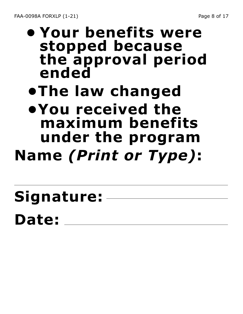**• Your benefits were stopped because the approval period ended**

## **•The law changed**

**•You received the maximum benefits under the program**

- **Name** *(Print or Type)***:**
- **Signature: Date:**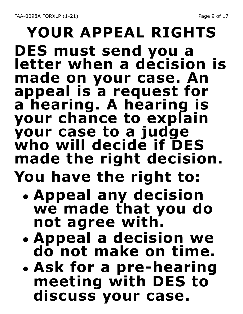### **YOUR APPEAL RIGHTS DES must send you a letter when a decision is made on your case. An appeal is a request for a hearing. A hearing is your chance to explain your case to a judge who will decide if DES made the right decision.**

# **You have the right to:**

- **• Appeal any decision we made that you do not agree with.**
- **• Appeal a decision we do not make on time.**
- **• Ask for a pre-hearing meeting with DES to discuss your case.**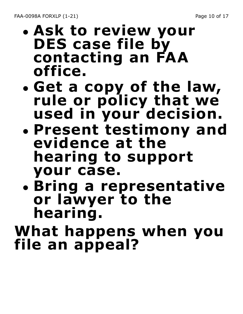- **• Ask to review your DES case file by contacting an FAA office.**
- **• Get a copy of the law, rule or policy that we used in your decision.**
- **• Present testimony and evidence at the hearing to support your case.**
- **• Bring a representative or lawyer to the hearing.**

**What happens when you file an appeal?**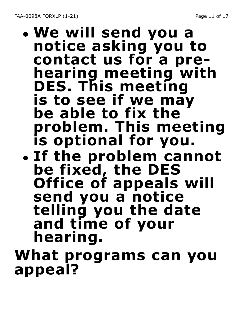FAA-0098A FORXLP (1-21) 2008 2010 2021 2031 2040 2041 2051 206 21 22 23 24 25 26 27 27 28 29 20 20 20 20 20 20

#### **• We will send you a notice asking you to contact us for a prehearing meeting with DES. This meeting is to see if we may be able to fix the problem. This meeting is optional for you. • If the problem cannot be fixed, the DES Office of appeals will send you a notice telling you the date and time of your hearing. What programs can you**

**appeal?**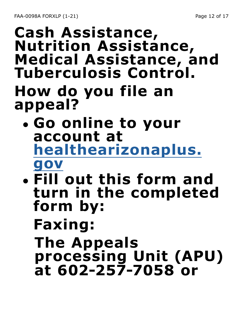### **Cash Assistance, Nutrition Assistance, Medical Assistance, and Tuberculosis Control. How do you file an appeal?**

- **• Go online to your account at healthearizonaplus. gov**
- **• Fill out this form and turn in the completed form by:** 
	- **Faxing:**

**The Appeals processing Unit (APU) at 602-257-7058 or**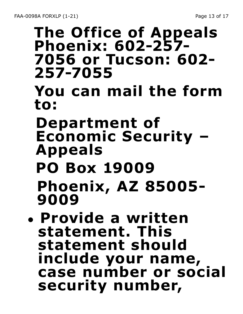### **The Office of Appeals Phoenix: 602-257- 7056 or Tucson: 602- 257-7055 You can mail the form to: Department of Economic Security – Appeals PO Box 19009 Phoenix, AZ 85005- 9009 • Provide a written**

**statement. This statement should include your name, case number or social security number,**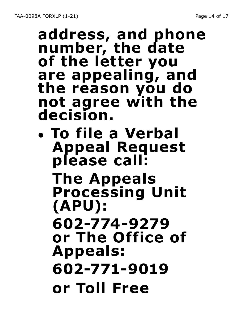#### **address, and phone number, the date of the letter you are appealing, and the reason you do not agree with the decision.**

**• To file a Verbal Appeal Request please call: The Appeals Processing Unit (APU): 602-774-9279 or The Office of Appeals: 602-771-9019 or Toll Free**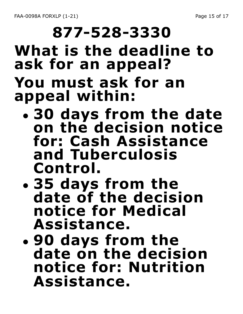# **877-528-3330 What is the deadline to ask for an appeal? You must ask for an appeal within:**

- **• 30 days from the date on the decision notice for: Cash Assistance and Tuberculosis Control.**
- **• 35 days from the date of the decision notice for Medical Assistance.**
- **• 90 days from the date on the decision notice for: Nutrition Assistance.**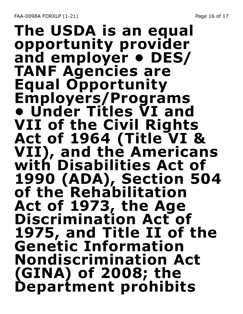FAA-0098A FORXLP (1-21) 2008 2010 2021 2022 2030 2041 2050 20617

#### **The USDA is an equal opportunity provider and employer • DES/ TANF Agencies are Equal Opportunity Employers/Programs • Under Titles VI and VII of the Civil Rights Act of 1964 (Title VI & VII), and the Americans with Disabilities Act of 1990 (ADA), Section 504 of the Rehabilitation Act of 1973, the Age Discrimination Act of 1975, and Title II of the Genetic Information Nondiscrimination Act (GINA) of 2008; the Department prohibits**